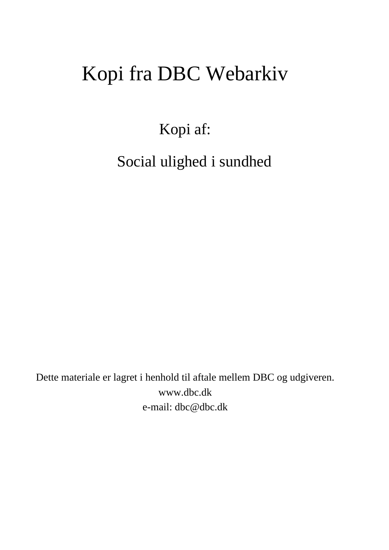# Kopi fra DBC Webarkiv

Kopi af:

Social ulighed i sundhed

Dette materiale er lagret i henhold til aftale mellem DBC og udgiveren. www.dbc.dk e-mail: dbc@dbc.dk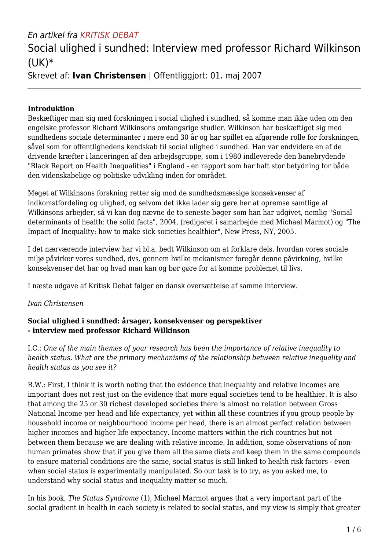## En artikel fra KRITISK DEBAT

# Social ulighed i sundhed: Interview med professor Richard Wilkinson (UK)\*

### Skrevet af: **Ivan Christensen** | Offentliggjort: 01. maj 2007

#### **Introduktion**

Beskæftiger man sig med forskningen i social ulighed i sundhed, så komme man ikke uden om den engelske professor Richard Wilkinsons omfangsrige studier. Wilkinson har beskæftiget sig med sundhedens sociale determinanter i mere end 30 år og har spillet en afgørende rolle for forskningen, såvel som for offentlighedens kendskab til social ulighed i sundhed. Han var endvidere en af de drivende kræfter i lanceringen af den arbejdsgruppe, som i 1980 indleverede den banebrydende "Black Report on Health Inequalities" i England - en rapport som har haft stor betydning for både den videnskabelige og politiske udvikling inden for området.

Meget af Wilkinsons forskning retter sig mod de sundhedsmæssige konsekvenser af indkomstfordeling og ulighed, og selvom det ikke lader sig gøre her at opremse samtlige af Wilkinsons arbejder, så vi kan dog nævne de to seneste bøger som han har udgivet, nemlig "Social determinants of health: the solid facts", 2004, (redigeret i samarbejde med Michael Marmot) og "The Impact of Inequality: how to make sick societies healthier", New Press, NY, 2005.

I det nærværende interview har vi bl.a. bedt Wilkinson om at forklare dels, hvordan vores sociale miljø påvirker vores sundhed, dvs. gennem hvilke mekanismer foregår denne påvirkning, hvilke konsekvenser det har og hvad man kan og bør gøre for at komme problemet til livs.

I næste udgave af Kritisk Debat følger en dansk oversættelse af samme interview.

#### *Ivan Christensen*

#### **Social ulighed i sundhed: årsager, konsekvenser og perspektiver - interview med professor Richard Wilkinson**

I.C.: *One of the main themes of your research has been the importance of relative inequality to health status. What are the primary mechanisms of the relationship between relative inequality and health status as you see it?*

R.W.: First, I think it is worth noting that the evidence that inequality and relative incomes are important does not rest just on the evidence that more equal societies tend to be healthier. It is also that among the 25 or 30 richest developed societies there is almost no relation between Gross National Income per head and life expectancy, yet within all these countries if you group people by household income or neighbourhood income per head, there is an almost perfect relation between higher incomes and higher life expectancy. Income matters within the rich countries but not between them because we are dealing with relative income. In addition, some observations of nonhuman primates show that if you give them all the same diets and keep them in the same compounds to ensure material conditions are the same, social status is still linked to health risk factors - even when social status is experimentally manipulated. So our task is to try, as you asked me, to understand why social status and inequality matter so much.

In his book, *The Status Syndrome* (1), Michael Marmot argues that a very important part of the social gradient in health in each society is related to social status, and my view is simply that greater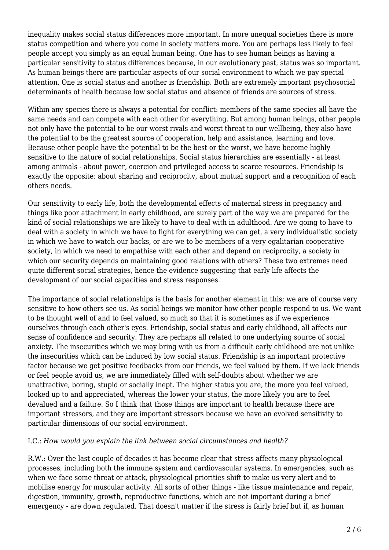inequality makes social status differences more important. In more unequal societies there is more status competition and where you come in society matters more. You are perhaps less likely to feel people accept you simply as an equal human being. One has to see human beings as having a particular sensitivity to status differences because, in our evolutionary past, status was so important. As human beings there are particular aspects of our social environment to which we pay special attention. One is social status and another is friendship. Both are extremely important psychosocial determinants of health because low social status and absence of friends are sources of stress.

Within any species there is always a potential for conflict: members of the same species all have the same needs and can compete with each other for everything. But among human beings, other people not only have the potential to be our worst rivals and worst threat to our wellbeing, they also have the potential to be the greatest source of cooperation, help and assistance, learning and love. Because other people have the potential to be the best or the worst, we have become highly sensitive to the nature of social relationships. Social status hierarchies are essentially - at least among animals - about power, coercion and privileged access to scarce resources. Friendship is exactly the opposite: about sharing and reciprocity, about mutual support and a recognition of each others needs.

Our sensitivity to early life, both the developmental effects of maternal stress in pregnancy and things like poor attachment in early childhood, are surely part of the way we are prepared for the kind of social relationships we are likely to have to deal with in adulthood. Are we going to have to deal with a society in which we have to fight for everything we can get, a very individualistic society in which we have to watch our backs, or are we to be members of a very egalitarian cooperative society, in which we need to empathise with each other and depend on reciprocity, a society in which our security depends on maintaining good relations with others? These two extremes need quite different social strategies, hence the evidence suggesting that early life affects the development of our social capacities and stress responses.

The importance of social relationships is the basis for another element in this; we are of course very sensitive to how others see us. As social beings we monitor how other people respond to us. We want to be thought well of and to feel valued, so much so that it is sometimes as if we experience ourselves through each other's eyes. Friendship, social status and early childhood, all affects our sense of confidence and security. They are perhaps all related to one underlying source of social anxiety. The insecurities which we may bring with us from a difficult early childhood are not unlike the insecurities which can be induced by low social status. Friendship is an important protective factor because we get positive feedbacks from our friends, we feel valued by them. If we lack friends or feel people avoid us, we are immediately filled with self-doubts about whether we are unattractive, boring, stupid or socially inept. The higher status you are, the more you feel valued, looked up to and appreciated, whereas the lower your status, the more likely you are to feel devalued and a failure. So I think that those things are important to health because there are important stressors, and they are important stressors because we have an evolved sensitivity to particular dimensions of our social environment.

#### I.C.: *How would you explain the link between social circumstances and health?*

R.W.: Over the last couple of decades it has become clear that stress affects many physiological processes, including both the immune system and cardiovascular systems. In emergencies, such as when we face some threat or attack, physiological priorities shift to make us very alert and to mobilise energy for muscular activity. All sorts of other things - like tissue maintenance and repair, digestion, immunity, growth, reproductive functions, which are not important during a brief emergency - are down regulated. That doesn't matter if the stress is fairly brief but if, as human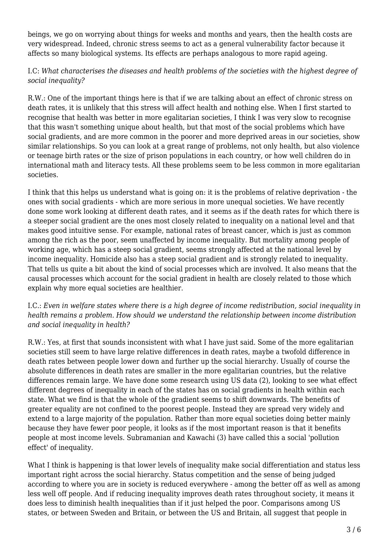beings, we go on worrying about things for weeks and months and years, then the health costs are very widespread. Indeed, chronic stress seems to act as a general vulnerability factor because it affects so many biological systems. Its effects are perhaps analogous to more rapid ageing.

#### I.C: *What characterises the diseases and health problems of the societies with the highest degree of social inequality?*

R.W.: One of the important things here is that if we are talking about an effect of chronic stress on death rates, it is unlikely that this stress will affect health and nothing else. When I first started to recognise that health was better in more egalitarian societies, I think I was very slow to recognise that this wasn't something unique about health, but that most of the social problems which have social gradients, and are more common in the poorer and more deprived areas in our societies, show similar relationships. So you can look at a great range of problems, not only health, but also violence or teenage birth rates or the size of prison populations in each country, or how well children do in international math and literacy tests. All these problems seem to be less common in more egalitarian societies.

I think that this helps us understand what is going on: it is the problems of relative deprivation - the ones with social gradients - which are more serious in more unequal societies. We have recently done some work looking at different death rates, and it seems as if the death rates for which there is a steeper social gradient are the ones most closely related to inequality on a national level and that makes good intuitive sense. For example, national rates of breast cancer, which is just as common among the rich as the poor, seem unaffected by income inequality. But mortality among people of working age, which has a steep social gradient, seems strongly affected at the national level by income inequality. Homicide also has a steep social gradient and is strongly related to inequality. That tells us quite a bit about the kind of social processes which are involved. It also means that the causal processes which account for the social gradient in health are closely related to those which explain why more equal societies are healthier.

#### I.C.: *Even in welfare states where there is a high degree of income redistribution, social inequality in health remains a problem. How should we understand the relationship between income distribution and social inequality in health?*

R.W.: Yes, at first that sounds inconsistent with what I have just said. Some of the more egalitarian societies still seem to have large relative differences in death rates, maybe a twofold difference in death rates between people lower down and further up the social hierarchy. Usually of course the absolute differences in death rates are smaller in the more egalitarian countries, but the relative differences remain large. We have done some research using US data (2), looking to see what effect different degrees of inequality in each of the states has on social gradients in health within each state. What we find is that the whole of the gradient seems to shift downwards. The benefits of greater equality are not confined to the poorest people. Instead they are spread very widely and extend to a large majority of the population. Rather than more equal societies doing better mainly because they have fewer poor people, it looks as if the most important reason is that it benefits people at most income levels. Subramanian and Kawachi (3) have called this a social 'pollution effect' of inequality.

What I think is happening is that lower levels of inequality make social differentiation and status less important right across the social hierarchy. Status competition and the sense of being judged according to where you are in society is reduced everywhere - among the better off as well as among less well off people. And if reducing inequality improves death rates throughout society, it means it does less to diminish health inequalities than if it just helped the poor. Comparisons among US states, or between Sweden and Britain, or between the US and Britain, all suggest that people in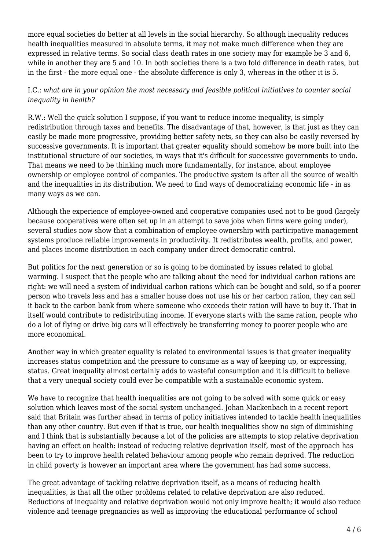more equal societies do better at all levels in the social hierarchy. So although inequality reduces health inequalities measured in absolute terms, it may not make much difference when they are expressed in relative terms. So social class death rates in one society may for example be 3 and 6, while in another they are 5 and 10. In both societies there is a two fold difference in death rates, but in the first - the more equal one - the absolute difference is only 3, whereas in the other it is 5.

#### I.C.: *what are in your opinion the most necessary and feasible political initiatives to counter social inequality in health?*

R.W.: Well the quick solution I suppose, if you want to reduce income inequality, is simply redistribution through taxes and benefits. The disadvantage of that, however, is that just as they can easily be made more progressive, providing better safety nets, so they can also be easily reversed by successive governments. It is important that greater equality should somehow be more built into the institutional structure of our societies, in ways that it's difficult for successive governments to undo. That means we need to be thinking much more fundamentally, for instance, about employee ownership or employee control of companies. The productive system is after all the source of wealth and the inequalities in its distribution. We need to find ways of democratizing economic life - in as many ways as we can.

Although the experience of employee-owned and cooperative companies used not to be good (largely because cooperatives were often set up in an attempt to save jobs when firms were going under), several studies now show that a combination of employee ownership with participative management systems produce reliable improvements in productivity. It redistributes wealth, profits, and power, and places income distribution in each company under direct democratic control.

But politics for the next generation or so is going to be dominated by issues related to global warming. I suspect that the people who are talking about the need for individual carbon rations are right: we will need a system of individual carbon rations which can be bought and sold, so if a poorer person who travels less and has a smaller house does not use his or her carbon ration, they can sell it back to the carbon bank from where someone who exceeds their ration will have to buy it. That in itself would contribute to redistributing income. If everyone starts with the same ration, people who do a lot of flying or drive big cars will effectively be transferring money to poorer people who are more economical.

Another way in which greater equality is related to environmental issues is that greater inequality increases status competition and the pressure to consume as a way of keeping up, or expressing, status. Great inequality almost certainly adds to wasteful consumption and it is difficult to believe that a very unequal society could ever be compatible with a sustainable economic system.

We have to recognize that health inequalities are not going to be solved with some quick or easy solution which leaves most of the social system unchanged. Johan Mackenbach in a recent report said that Britain was further ahead in terms of policy initiatives intended to tackle health inequalities than any other country. But even if that is true, our health inequalities show no sign of diminishing and I think that is substantially because a lot of the policies are attempts to stop relative deprivation having an effect on health: instead of reducing relative deprivation itself, most of the approach has been to try to improve health related behaviour among people who remain deprived. The reduction in child poverty is however an important area where the government has had some success.

The great advantage of tackling relative deprivation itself, as a means of reducing health inequalities, is that all the other problems related to relative deprivation are also reduced. Reductions of inequality and relative deprivation would not only improve health; it would also reduce violence and teenage pregnancies as well as improving the educational performance of school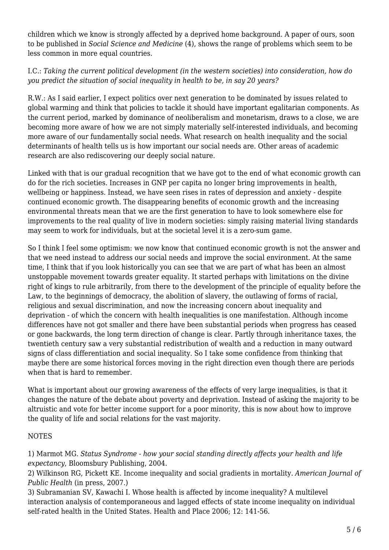children which we know is strongly affected by a deprived home background. A paper of ours, soon to be published in *Social Science and Medicine* (4), shows the range of problems which seem to be less common in more equal countries.

I.C.: *Taking the current political development (in the western societies) into consideration, how do you predict the situation of social inequality in health to be, in say 20 years?*

R.W.: As I said earlier, I expect politics over next generation to be dominated by issues related to global warming and think that policies to tackle it should have important egalitarian components. As the current period, marked by dominance of neoliberalism and monetarism, draws to a close, we are becoming more aware of how we are not simply materially self-interested individuals, and becoming more aware of our fundamentally social needs. What research on health inequality and the social determinants of health tells us is how important our social needs are. Other areas of academic research are also rediscovering our deeply social nature.

Linked with that is our gradual recognition that we have got to the end of what economic growth can do for the rich societies. Increases in GNP per capita no longer bring improvements in health, wellbeing or happiness. Instead, we have seen rises in rates of depression and anxiety - despite continued economic growth. The disappearing benefits of economic growth and the increasing environmental threats mean that we are the first generation to have to look somewhere else for improvements to the real quality of live in modern societies: simply raising material living standards may seem to work for individuals, but at the societal level it is a zero-sum game.

So I think I feel some optimism: we now know that continued economic growth is not the answer and that we need instead to address our social needs and improve the social environment. At the same time, I think that if you look historically you can see that we are part of what has been an almost unstoppable movement towards greater equality. It started perhaps with limitations on the divine right of kings to rule arbitrarily, from there to the development of the principle of equality before the Law, to the beginnings of democracy, the abolition of slavery, the outlawing of forms of racial, religious and sexual discrimination, and now the increasing concern about inequality and deprivation - of which the concern with health inequalities is one manifestation. Although income differences have not got smaller and there have been substantial periods when progress has ceased or gone backwards, the long term direction of change is clear. Partly through inheritance taxes, the twentieth century saw a very substantial redistribution of wealth and a reduction in many outward signs of class differentiation and social inequality. So I take some confidence from thinking that maybe there are some historical forces moving in the right direction even though there are periods when that is hard to remember.

What is important about our growing awareness of the effects of very large inequalities, is that it changes the nature of the debate about poverty and deprivation. Instead of asking the majority to be altruistic and vote for better income support for a poor minority, this is now about how to improve the quality of life and social relations for the vast majority.

#### **NOTES**

1) Marmot MG. *Status Syndrome - how your social standing directly affects your health and life expectancy*, Bloomsbury Publishing, 2004.

2) Wilkinson RG, Pickett KE. Income inequality and social gradients in mortality. *American Journal of Public Health* (in press, 2007.)

3) Subramanian SV, Kawachi I. Whose health is affected by income inequality? A multilevel interaction analysis of contemporaneous and lagged effects of state income inequality on individual self-rated health in the United States. Health and Place 2006; 12: 141-56.